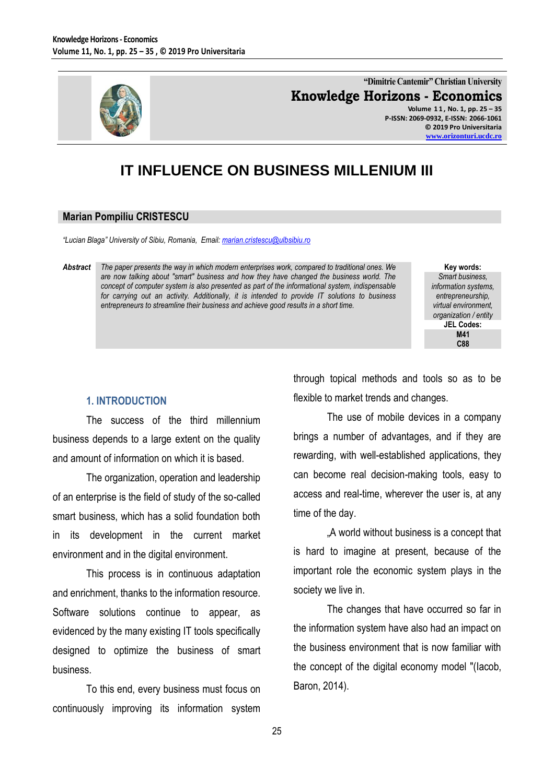

**"Dimitrie Cantemir" Christian University Knowledge Horizons - Economics Volume 1 1 , No. 1, pp. 25 – 35 P-ISSN: 2069-0932, E-ISSN: 2066-1061**

**© 2019 Pro Universitaria [www.orizonturi.ucdc.ro](http://www.orizonturi.ucdc.ro/)**

# **IT INFLUENCE ON BUSINESS MILLENIUM III**

#### **Marian Pompiliu CRISTESCU**

*"Lucian Blaga" University of Sibiu, Romania, Email[: marian.cristescu@ulbsibiu.ro](mailto:marian.cristescu@ulbsibiu.ro)* 

*Abstract The paper presents the way in which modern enterprises work, compared to traditional ones. We are now talking about "smart" business and how they have changed the business world. The concept of computer system is also presented as part of the informational system, indispensable for carrying out an activity. Additionally, it is intended to provide IT solutions to business entrepreneurs to streamline their business and achieve good results in a short time.*

**Key words:** *Smart business, information systems, entrepreneurship, virtual environment, organization / entity* **JEL Codes: M41 C88**

## **1. INTRODUCTION**

The success of the third millennium business depends to a large extent on the quality and amount of information on which it is based.

The organization, operation and leadership of an enterprise is the field of study of the so-called smart business, which has a solid foundation both in its development in the current market environment and in the digital environment.

This process is in continuous adaptation and enrichment, thanks to the information resource. Software solutions continue to appear, as evidenced by the many existing IT tools specifically designed to optimize the business of smart business.

To this end, every business must focus on continuously improving its information system

through topical methods and tools so as to be flexible to market trends and changes.

The use of mobile devices in a company brings a number of advantages, and if they are rewarding, with well-established applications, they can become real decision-making tools, easy to access and real-time, wherever the user is, at any time of the day.

"A world without business is a concept that is hard to imagine at present, because of the important role the economic system plays in the society we live in.

The changes that have occurred so far in the information system have also had an impact on the business environment that is now familiar with the concept of the digital economy model "(Iacob, Baron, 2014).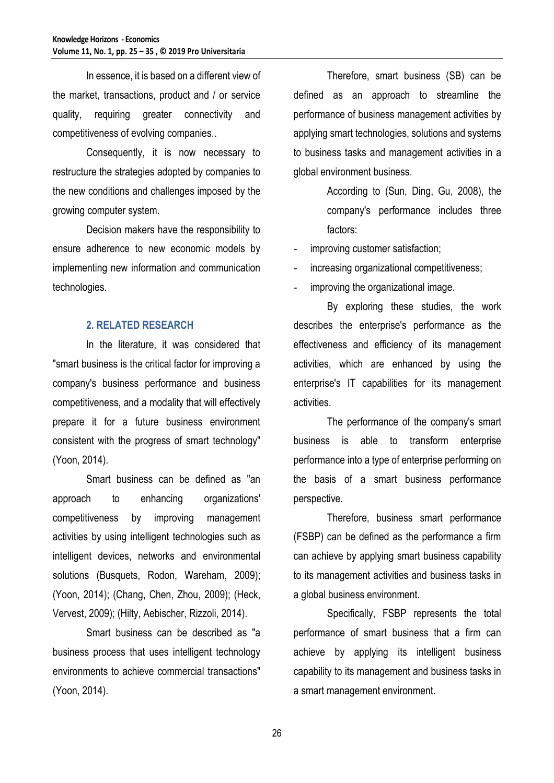In essence, it is based on a different view of the market, transactions, product and / or service quality, requiring greater connectivity and competitiveness of evolving companies..

Consequently, it is now necessary to restructure the strategies adopted by companies to the new conditions and challenges imposed by the growing computer system.

Decision makers have the responsibility to ensure adherence to new economic models by implementing new information and communication technologies.

### **2. RELATED RESEARCH**

In the literature, it was considered that "smart business is the critical factor for improving a company's business performance and business competitiveness, and a modality that will effectively prepare it for a future business environment consistent with the progress of smart technology" (Yoon, 2014).

Smart business can be defined as "an approach to enhancing organizations' competitiveness by improving management activities by using intelligent technologies such as intelligent devices, networks and environmental solutions (Busquets, Rodon, Wareham, 2009); (Yoon, 2014); (Chang, Chen, Zhou, 2009); (Heck, Vervest, 2009); (Hilty, Aebischer, Rizzoli, 2014).

Smart business can be described as "a business process that uses intelligent technology environments to achieve commercial transactions" (Yoon, 2014).

Therefore, smart business (SB) can be defined as an approach to streamline the performance of business management activities by applying smart technologies, solutions and systems to business tasks and management activities in a global environment business.

> According to (Sun, Ding, Gu, 2008), the company's performance includes three factors:

- improving customer satisfaction;

increasing organizational competitiveness;

improving the organizational image.

By exploring these studies, the work describes the enterprise's performance as the effectiveness and efficiency of its management activities, which are enhanced by using the enterprise's IT capabilities for its management activities.

The performance of the company's smart business is able to transform enterprise performance into a type of enterprise performing on the basis of a smart business performance perspective.

Therefore, business smart performance (FSBP) can be defined as the performance a firm can achieve by applying smart business capability to its management activities and business tasks in a global business environment.

Specifically, FSBP represents the total performance of smart business that a firm can achieve by applying its intelligent business capability to its management and business tasks in a smart management environment.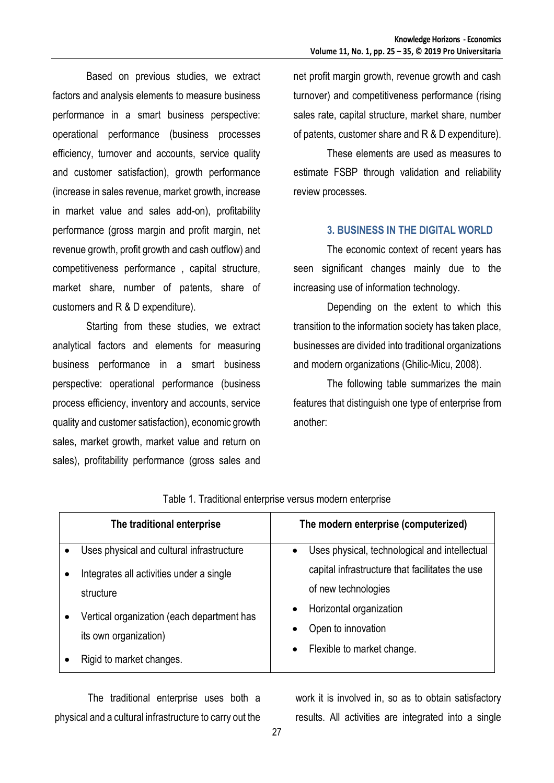Based on previous studies, we extract factors and analysis elements to measure business performance in a smart business perspective: operational performance (business processes efficiency, turnover and accounts, service quality and customer satisfaction), growth performance (increase in sales revenue, market growth, increase in market value and sales add-on), profitability performance (gross margin and profit margin, net revenue growth, profit growth and cash outflow) and competitiveness performance , capital structure, market share, number of patents, share of customers and R & D expenditure).

Starting from these studies, we extract analytical factors and elements for measuring business performance in a smart business perspective: operational performance (business process efficiency, inventory and accounts, service quality and customer satisfaction), economic growth sales, market growth, market value and return on sales), profitability performance (gross sales and

net profit margin growth, revenue growth and cash turnover) and competitiveness performance (rising sales rate, capital structure, market share, number of patents, customer share and R & D expenditure).

These elements are used as measures to estimate FSBP through validation and reliability review processes.

### **3. BUSINESS IN THE DIGITAL WORLD**

The economic context of recent years has seen significant changes mainly due to the increasing use of information technology.

Depending on the extent to which this transition to the information society has taken place, businesses are divided into traditional organizations and modern organizations (Ghilic-Micu, 2008).

The following table summarizes the main features that distinguish one type of enterprise from another:

|           | The traditional enterprise                                          | The modern enterprise (computerized)                       |
|-----------|---------------------------------------------------------------------|------------------------------------------------------------|
| $\bullet$ | Uses physical and cultural infrastructure                           | Uses physical, technological and intellectual<br>$\bullet$ |
| $\bullet$ | Integrates all activities under a single                            | capital infrastructure that facilitates the use            |
|           | structure                                                           | of new technologies                                        |
|           | Vertical organization (each department has<br>its own organization) | Horizontal organization<br>$\bullet$                       |
|           |                                                                     | Open to innovation<br>$\bullet$                            |
|           |                                                                     | Flexible to market change.<br>$\bullet$                    |
|           | Rigid to market changes.                                            |                                                            |

Table 1. Traditional enterprise versus modern enterprise

The traditional enterprise uses both a physical and a cultural infrastructure to carry out the work it is involved in, so as to obtain satisfactory results. All activities are integrated into a single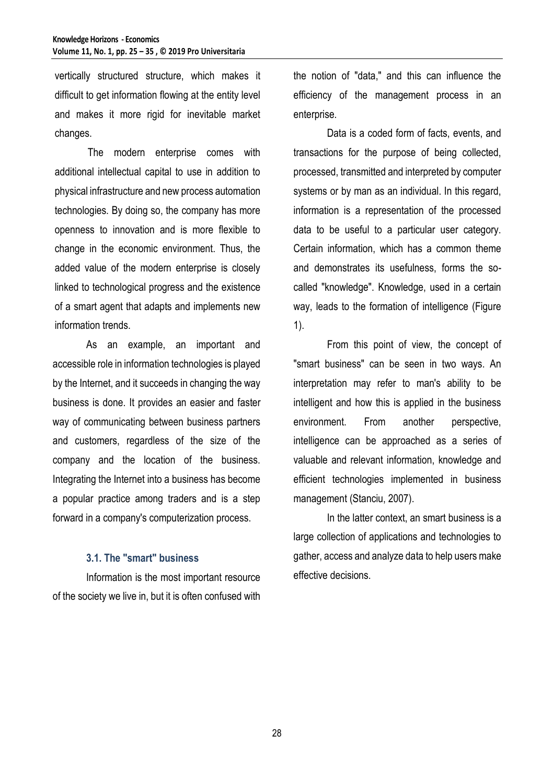vertically structured structure, which makes it difficult to get information flowing at the entity level and makes it more rigid for inevitable market changes.

The modern enterprise comes with additional intellectual capital to use in addition to physical infrastructure and new process automation technologies. By doing so, the company has more openness to innovation and is more flexible to change in the economic environment. Thus, the added value of the modern enterprise is closely linked to technological progress and the existence of a smart agent that adapts and implements new information trends.

As an example, an important and accessible role in information technologies is played by the Internet, and it succeeds in changing the way business is done. It provides an easier and faster way of communicating between business partners and customers, regardless of the size of the company and the location of the business. Integrating the Internet into a business has become a popular practice among traders and is a step forward in a company's computerization process.

### **3.1. The "smart" business**

Information is the most important resource of the society we live in, but it is often confused with the notion of "data," and this can influence the efficiency of the management process in an enterprise.

Data is a coded form of facts, events, and transactions for the purpose of being collected, processed, transmitted and interpreted by computer systems or by man as an individual. In this regard, information is a representation of the processed data to be useful to a particular user category. Certain information, which has a common theme and demonstrates its usefulness, forms the socalled "knowledge". Knowledge, used in a certain way, leads to the formation of intelligence (Figure 1).

From this point of view, the concept of "smart business" can be seen in two ways. An interpretation may refer to man's ability to be intelligent and how this is applied in the business environment. From another perspective, intelligence can be approached as a series of valuable and relevant information, knowledge and efficient technologies implemented in business management (Stanciu, 2007).

In the latter context, an smart business is a large collection of applications and technologies to gather, access and analyze data to help users make effective decisions.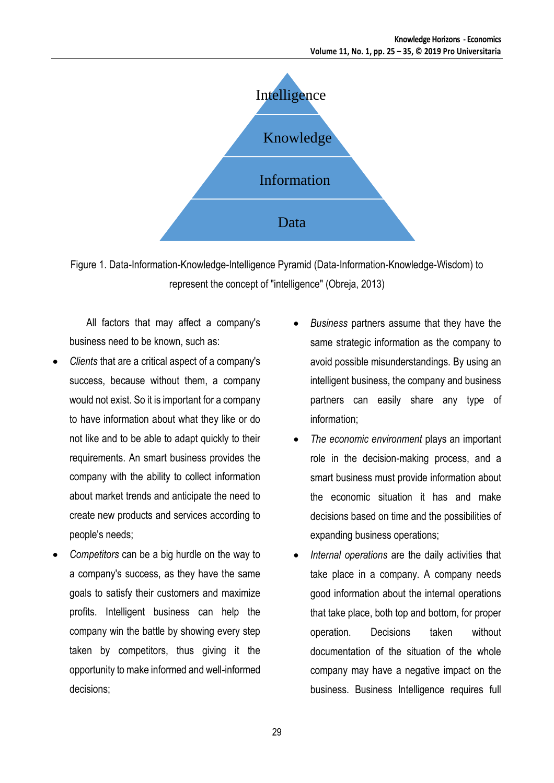

Figure 1. Data-Information-Knowledge-Intelligence Pyramid (Data-Information-Knowledge-Wisdom) to represent the concept of "intelligence" (Obreja, 2013)

All factors that may affect a company's business need to be known, such as:

- *Clients* that are a critical aspect of a company's success, because without them, a company would not exist. So it is important for a company to have information about what they like or do not like and to be able to adapt quickly to their requirements. An smart business provides the company with the ability to collect information about market trends and anticipate the need to create new products and services according to people's needs;
- *Competitors* can be a big hurdle on the way to a company's success, as they have the same goals to satisfy their customers and maximize profits. Intelligent business can help the company win the battle by showing every step taken by competitors, thus giving it the opportunity to make informed and well-informed decisions;
- *Business* partners assume that they have the same strategic information as the company to avoid possible misunderstandings. By using an intelligent business, the company and business partners can easily share any type of information;
- *The economic environment* plays an important role in the decision-making process, and a smart business must provide information about the economic situation it has and make decisions based on time and the possibilities of expanding business operations;
- *Internal operations* are the daily activities that take place in a company. A company needs good information about the internal operations that take place, both top and bottom, for proper operation. Decisions taken without documentation of the situation of the whole company may have a negative impact on the business. Business Intelligence requires full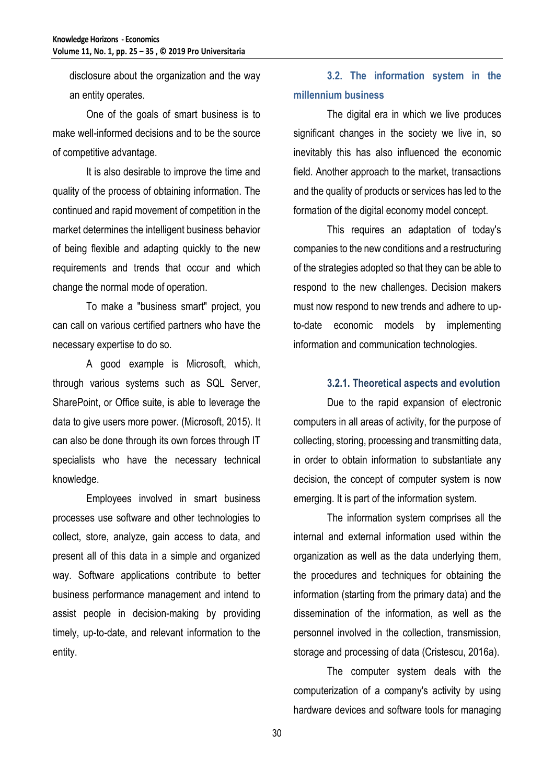disclosure about the organization and the way an entity operates.

One of the goals of smart business is to make well-informed decisions and to be the source of competitive advantage.

It is also desirable to improve the time and quality of the process of obtaining information. The continued and rapid movement of competition in the market determines the intelligent business behavior of being flexible and adapting quickly to the new requirements and trends that occur and which change the normal mode of operation.

To make a "business smart" project, you can call on various certified partners who have the necessary expertise to do so.

A good example is Microsoft, which, through various systems such as SQL Server, SharePoint, or Office suite, is able to leverage the data to give users more power. (Microsoft, 2015). It can also be done through its own forces through IT specialists who have the necessary technical knowledge.

Employees involved in smart business processes use software and other technologies to collect, store, analyze, gain access to data, and present all of this data in a simple and organized way. Software applications contribute to better business performance management and intend to assist people in decision-making by providing timely, up-to-date, and relevant information to the entity.

## **3.2. The information system in the millennium business**

The digital era in which we live produces significant changes in the society we live in, so inevitably this has also influenced the economic field. Another approach to the market, transactions and the quality of products or services has led to the formation of the digital economy model concept.

This requires an adaptation of today's companies to the new conditions and a restructuring of the strategies adopted so that they can be able to respond to the new challenges. Decision makers must now respond to new trends and adhere to upto-date economic models by implementing information and communication technologies.

## **3.2.1. Theoretical aspects and evolution**

Due to the rapid expansion of electronic computers in all areas of activity, for the purpose of collecting, storing, processing and transmitting data, in order to obtain information to substantiate any decision, the concept of computer system is now emerging. It is part of the information system.

The information system comprises all the internal and external information used within the organization as well as the data underlying them, the procedures and techniques for obtaining the information (starting from the primary data) and the dissemination of the information, as well as the personnel involved in the collection, transmission, storage and processing of data (Cristescu, 2016a).

The computer system deals with the computerization of a company's activity by using hardware devices and software tools for managing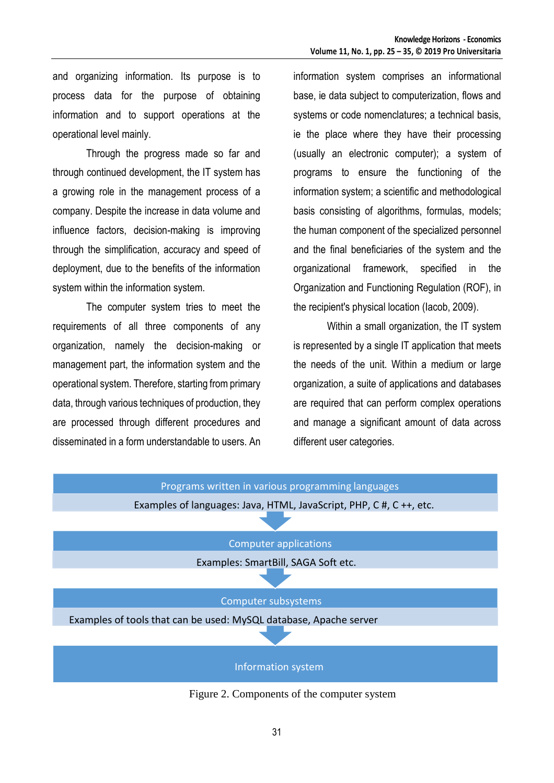and organizing information. Its purpose is to process data for the purpose of obtaining information and to support operations at the operational level mainly.

Through the progress made so far and through continued development, the IT system has a growing role in the management process of a company. Despite the increase in data volume and influence factors, decision-making is improving through the simplification, accuracy and speed of deployment, due to the benefits of the information system within the information system.

The computer system tries to meet the requirements of all three components of any organization, namely the decision-making or management part, the information system and the operational system. Therefore, starting from primary data, through various techniques of production, they are processed through different procedures and disseminated in a form understandable to users. An

information system comprises an informational base, ie data subject to computerization, flows and systems or code nomenclatures; a technical basis, ie the place where they have their processing (usually an electronic computer); a system of programs to ensure the functioning of the information system; a scientific and methodological basis consisting of algorithms, formulas, models; the human component of the specialized personnel and the final beneficiaries of the system and the organizational framework, specified in the Organization and Functioning Regulation (ROF), in the recipient's physical location (Iacob, 2009).

Within a small organization, the IT system is represented by a single IT application that meets the needs of the unit. Within a medium or large organization, a suite of applications and databases are required that can perform complex operations and manage a significant amount of data across different user categories.



Figure 2. Components of the computer system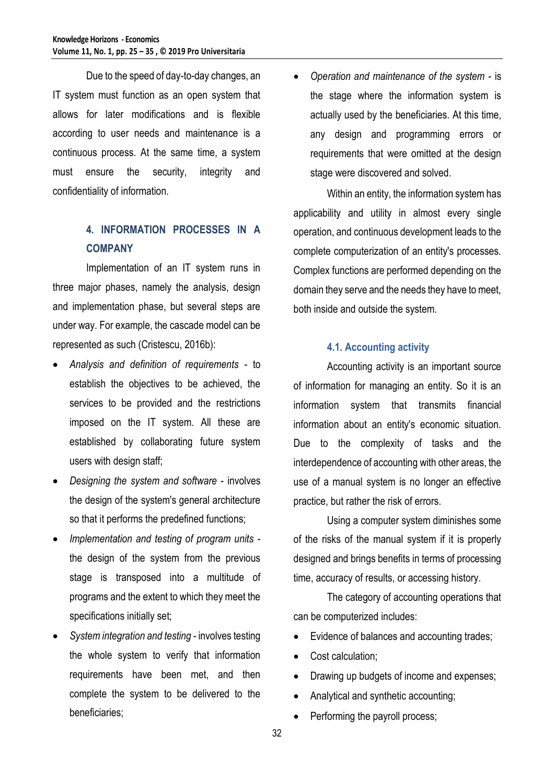Due to the speed of day-to-day changes, an IT system must function as an open system that allows for later modifications and is flexible according to user needs and maintenance is a continuous process. At the same time, a system must ensure the security, integrity and confidentiality of information.

## **4. INFORMATION PROCESSES IN A COMPANY**

Implementation of an IT system runs in three major phases, namely the analysis, design and implementation phase, but several steps are under way. For example, the cascade model can be represented as such (Cristescu, 2016b):

- *Analysis and definition of requirements* to establish the objectives to be achieved, the services to be provided and the restrictions imposed on the IT system. All these are established by collaborating future system users with design staff;
- *Designing the system and software* involves the design of the system's general architecture so that it performs the predefined functions;
- *Implementation and testing of program units* the design of the system from the previous stage is transposed into a multitude of programs and the extent to which they meet the specifications initially set;
- *System integration and testing* involves testing the whole system to verify that information requirements have been met, and then complete the system to be delivered to the beneficiaries;

 *Operation and maintenance of the system* - is the stage where the information system is actually used by the beneficiaries. At this time, any design and programming errors or requirements that were omitted at the design stage were discovered and solved.

Within an entity, the information system has applicability and utility in almost every single operation, and continuous development leads to the complete computerization of an entity's processes. Complex functions are performed depending on the domain they serve and the needs they have to meet, both inside and outside the system.

### **4.1. Accounting activity**

Accounting activity is an important source of information for managing an entity. So it is an information system that transmits financial information about an entity's economic situation. Due to the complexity of tasks and the interdependence of accounting with other areas, the use of a manual system is no longer an effective practice, but rather the risk of errors.

Using a computer system diminishes some of the risks of the manual system if it is properly designed and brings benefits in terms of processing time, accuracy of results, or accessing history.

The category of accounting operations that can be computerized includes:

- Evidence of balances and accounting trades;
- Cost calculation;
- Drawing up budgets of income and expenses;
- Analytical and synthetic accounting;
- Performing the payroll process;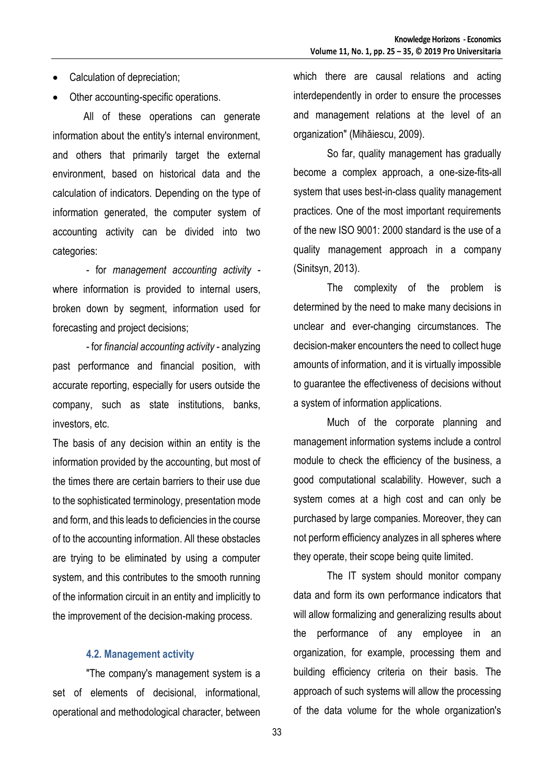- Calculation of depreciation;
- Other accounting-specific operations.

All of these operations can generate information about the entity's internal environment, and others that primarily target the external environment, based on historical data and the calculation of indicators. Depending on the type of information generated, the computer system of accounting activity can be divided into two categories:

- for *management accounting activity* where information is provided to internal users, broken down by segment, information used for forecasting and project decisions;

- for *financial accounting activity* - analyzing past performance and financial position, with accurate reporting, especially for users outside the company, such as state institutions, banks, investors, etc.

The basis of any decision within an entity is the information provided by the accounting, but most of the times there are certain barriers to their use due to the sophisticated terminology, presentation mode and form, and this leads to deficiencies in the course of to the accounting information. All these obstacles are trying to be eliminated by using a computer system, and this contributes to the smooth running of the information circuit in an entity and implicitly to the improvement of the decision-making process.

#### **4.2. Management activity**

"The company's management system is a set of elements of decisional, informational, operational and methodological character, between which there are causal relations and acting interdependently in order to ensure the processes and management relations at the level of an organization" (Mihăiescu, 2009).

So far, quality management has gradually become a complex approach, a one-size-fits-all system that uses best-in-class quality management practices. One of the most important requirements of the new ISO 9001: 2000 standard is the use of a quality management approach in a company (Sinitsyn, 2013).

The complexity of the problem is determined by the need to make many decisions in unclear and ever-changing circumstances. The decision-maker encounters the need to collect huge amounts of information, and it is virtually impossible to guarantee the effectiveness of decisions without a system of information applications.

Much of the corporate planning and management information systems include a control module to check the efficiency of the business, a good computational scalability. However, such a system comes at a high cost and can only be purchased by large companies. Moreover, they can not perform efficiency analyzes in all spheres where they operate, their scope being quite limited.

The IT system should monitor company data and form its own performance indicators that will allow formalizing and generalizing results about the performance of any employee in an organization, for example, processing them and building efficiency criteria on their basis. The approach of such systems will allow the processing of the data volume for the whole organization's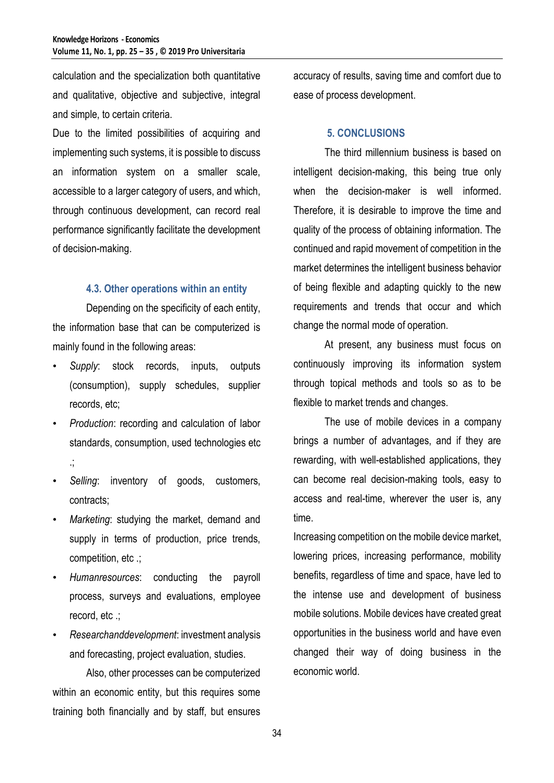calculation and the specialization both quantitative and qualitative, objective and subjective, integral and simple, to certain criteria.

Due to the limited possibilities of acquiring and implementing such systems, it is possible to discuss an information system on a smaller scale, accessible to a larger category of users, and which, through continuous development, can record real performance significantly facilitate the development of decision-making.

#### **4.3. Other operations within an entity**

Depending on the specificity of each entity, the information base that can be computerized is mainly found in the following areas:

- *Supply*: stock records, inputs, outputs (consumption), supply schedules, supplier records, etc;
- *Production*: recording and calculation of labor standards, consumption, used technologies etc .;
- Selling: inventory of goods, customers, contracts;
- *Marketing*: studying the market, demand and supply in terms of production, price trends, competition, etc .;
- *Humanresources*: conducting the payroll process, surveys and evaluations, employee record, etc .;
- *Researchanddevelopment*: investment analysis and forecasting, project evaluation, studies.

Also, other processes can be computerized within an economic entity, but this requires some training both financially and by staff, but ensures accuracy of results, saving time and comfort due to ease of process development.

#### **5. CONCLUSIONS**

The third millennium business is based on intelligent decision-making, this being true only when the decision-maker is well informed. Therefore, it is desirable to improve the time and quality of the process of obtaining information. The continued and rapid movement of competition in the market determines the intelligent business behavior of being flexible and adapting quickly to the new requirements and trends that occur and which change the normal mode of operation.

At present, any business must focus on continuously improving its information system through topical methods and tools so as to be flexible to market trends and changes.

The use of mobile devices in a company brings a number of advantages, and if they are rewarding, with well-established applications, they can become real decision-making tools, easy to access and real-time, wherever the user is, any time.

Increasing competition on the mobile device market, lowering prices, increasing performance, mobility benefits, regardless of time and space, have led to the intense use and development of business mobile solutions. Mobile devices have created great opportunities in the business world and have even changed their way of doing business in the economic world.